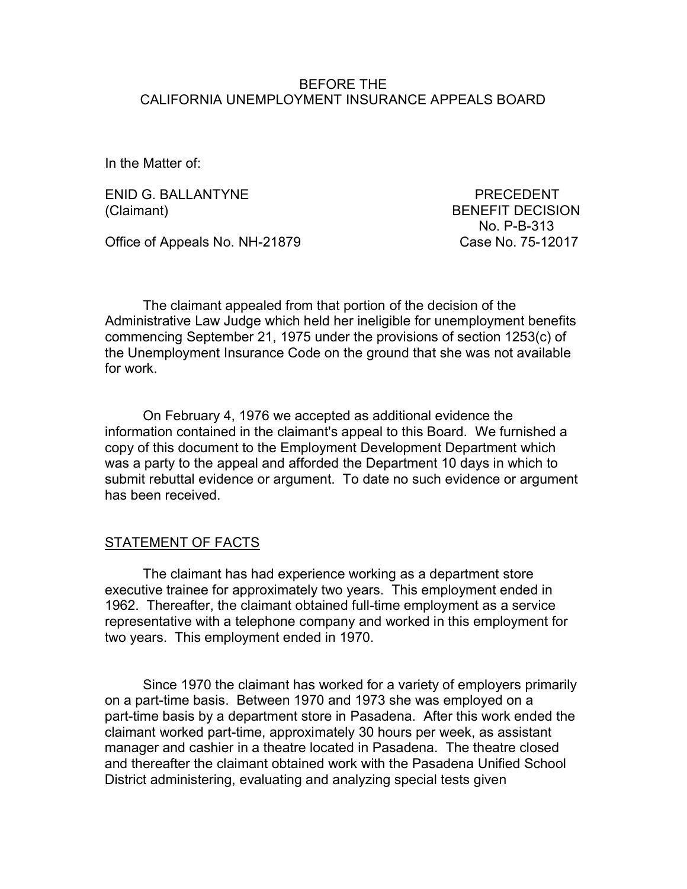#### BEFORE THE CALIFORNIA UNEMPLOYMENT INSURANCE APPEALS BOARD

In the Matter of:

ENID G. BALLANTYNE PRECEDENT (Claimant) BENEFIT DECISION

No. P-B-313

Office of Appeals No. NH-21879 Case No. 75-12017

 The claimant appealed from that portion of the decision of the Administrative Law Judge which held her ineligible for unemployment benefits commencing September 21, 1975 under the provisions of section 1253(c) of the Unemployment Insurance Code on the ground that she was not available for work.

 On February 4, 1976 we accepted as additional evidence the information contained in the claimant's appeal to this Board. We furnished a copy of this document to the Employment Development Department which was a party to the appeal and afforded the Department 10 days in which to submit rebuttal evidence or argument. To date no such evidence or argument has been received.

## STATEMENT OF FACTS

 The claimant has had experience working as a department store executive trainee for approximately two years. This employment ended in 1962. Thereafter, the claimant obtained full-time employment as a service representative with a telephone company and worked in this employment for two years. This employment ended in 1970.

 Since 1970 the claimant has worked for a variety of employers primarily on a part-time basis. Between 1970 and 1973 she was employed on a part-time basis by a department store in Pasadena. After this work ended the claimant worked part-time, approximately 30 hours per week, as assistant manager and cashier in a theatre located in Pasadena. The theatre closed and thereafter the claimant obtained work with the Pasadena Unified School District administering, evaluating and analyzing special tests given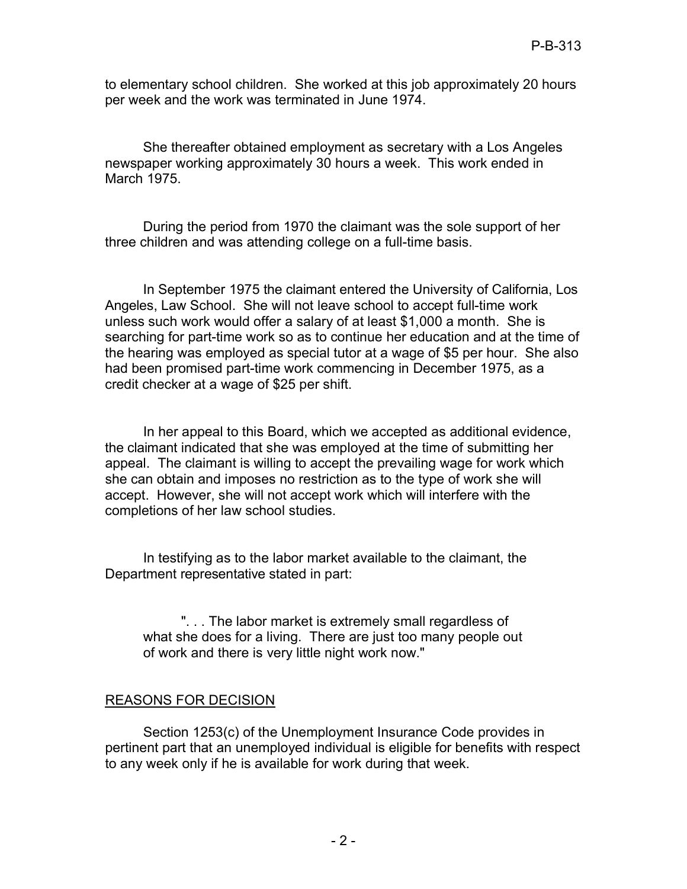to elementary school children. She worked at this job approximately 20 hours per week and the work was terminated in June 1974.

 She thereafter obtained employment as secretary with a Los Angeles newspaper working approximately 30 hours a week. This work ended in March 1975.

 During the period from 1970 the claimant was the sole support of her three children and was attending college on a full-time basis.

 In September 1975 the claimant entered the University of California, Los Angeles, Law School. She will not leave school to accept full-time work unless such work would offer a salary of at least \$1,000 a month. She is searching for part-time work so as to continue her education and at the time of the hearing was employed as special tutor at a wage of \$5 per hour. She also had been promised part-time work commencing in December 1975, as a credit checker at a wage of \$25 per shift.

 In her appeal to this Board, which we accepted as additional evidence, the claimant indicated that she was employed at the time of submitting her appeal. The claimant is willing to accept the prevailing wage for work which she can obtain and imposes no restriction as to the type of work she will accept. However, she will not accept work which will interfere with the completions of her law school studies.

 In testifying as to the labor market available to the claimant, the Department representative stated in part:

 ". . . The labor market is extremely small regardless of what she does for a living. There are just too many people out of work and there is very little night work now."

## REASONS FOR DECISION

 Section 1253(c) of the Unemployment Insurance Code provides in pertinent part that an unemployed individual is eligible for benefits with respect to any week only if he is available for work during that week.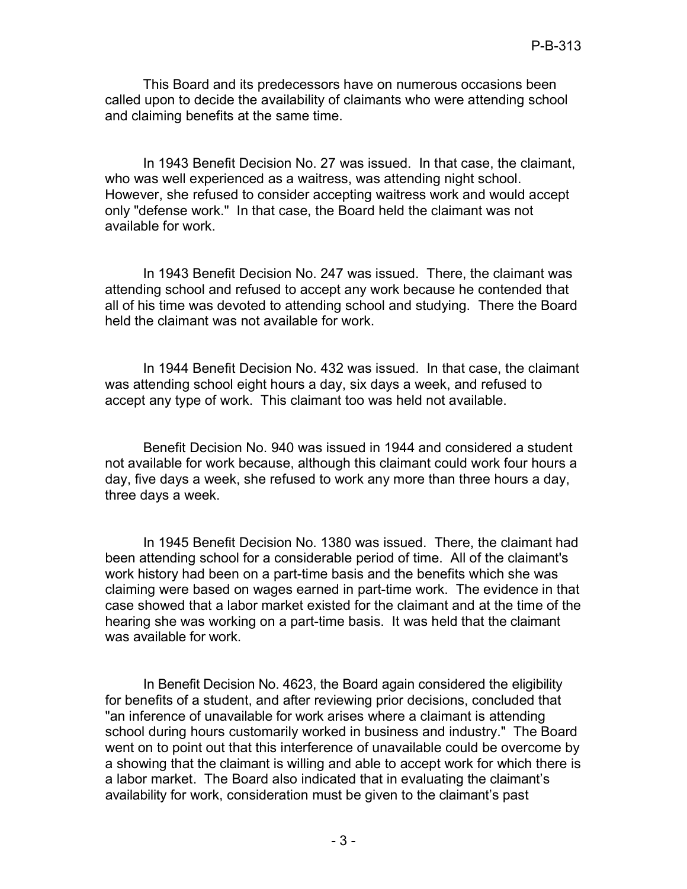This Board and its predecessors have on numerous occasions been called upon to decide the availability of claimants who were attending school and claiming benefits at the same time.

 In 1943 Benefit Decision No. 27 was issued. In that case, the claimant, who was well experienced as a waitress, was attending night school. only "defense work." In that case, the Board held the claimant was not However, she refused to consider accepting waitress work and would accept available for work.

 In 1943 Benefit Decision No. 247 was issued. There, the claimant was attending school and refused to accept any work because he contended that all of his time was devoted to attending school and studying. There the Board held the claimant was not available for work.

 In 1944 Benefit Decision No. 432 was issued. In that case, the claimant was attending school eight hours a day, six days a week, and refused to accept any type of work. This claimant too was held not available.

 Benefit Decision No. 940 was issued in 1944 and considered a student not available for work because, although this claimant could work four hours a day, five days a week, she refused to work any more than three hours a day, three days a week.

 In 1945 Benefit Decision No. 1380 was issued. There, the claimant had been attending school for a considerable period of time. All of the claimant's work history had been on a part-time basis and the benefits which she was claiming were based on wages earned in part-time work. The evidence in that case showed that a labor market existed for the claimant and at the time of the hearing she was working on a part-time basis. It was held that the claimant was available for work.

 In Benefit Decision No. 4623, the Board again considered the eligibility for benefits of a student, and after reviewing prior decisions, concluded that "an inference of unavailable for work arises where a claimant is attending school during hours customarily worked in business and industry." The Board went on to point out that this interference of unavailable could be overcome by a showing that the claimant is willing and able to accept work for which there is a labor market. The Board also indicated that in evaluating the claimant's availability for work, consideration must be given to the claimant's past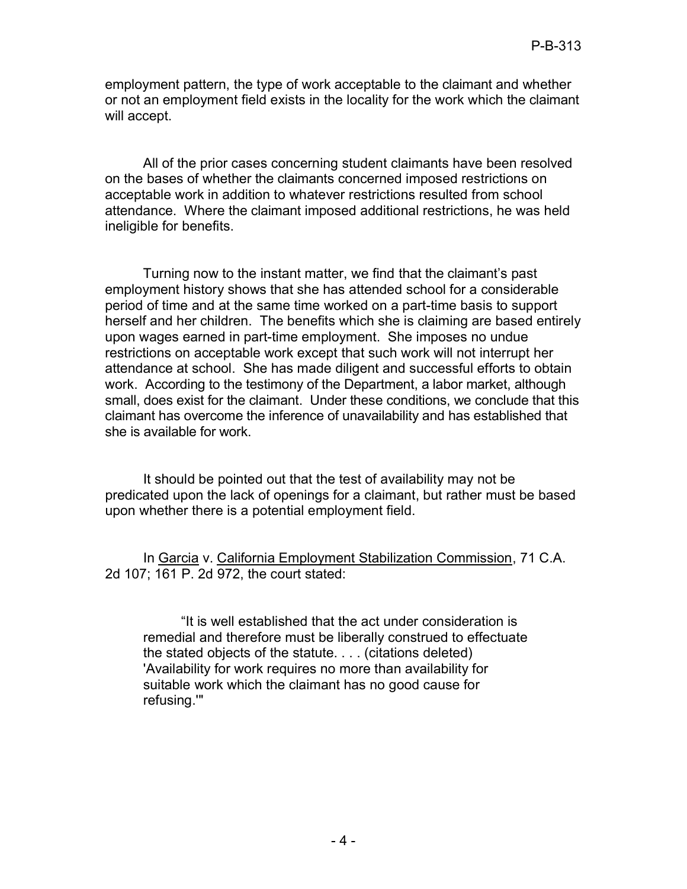employment pattern, the type of work acceptable to the claimant and whether or not an employment field exists in the locality for the work which the claimant will accept.

 All of the prior cases concerning student claimants have been resolved on the bases of whether the claimants concerned imposed restrictions on acceptable work in addition to whatever restrictions resulted from school attendance. Where the claimant imposed additional restrictions, he was held ineligible for benefits.

 Turning now to the instant matter, we find that the claimant's past employment history shows that she has attended school for a considerable period of time and at the same time worked on a part-time basis to support herself and her children. The benefits which she is claiming are based entirely upon wages earned in part-time employment. She imposes no undue restrictions on acceptable work except that such work will not interrupt her attendance at school. She has made diligent and successful efforts to obtain work. According to the testimony of the Department, a labor market, although small, does exist for the claimant. Under these conditions, we conclude that this claimant has overcome the inference of unavailability and has established that she is available for work.

 It should be pointed out that the test of availability may not be predicated upon the lack of openings for a claimant, but rather must be based upon whether there is a potential employment field.

In Garcia v. California Employment Stabilization Commission, 71 C.A. 2d 107; 161 P. 2d 972, the court stated:

 "It is well established that the act under consideration is remedial and therefore must be liberally construed to effectuate the stated objects of the statute. . . . (citations deleted) 'Availability for work requires no more than availability for suitable work which the claimant has no good cause for refusing.'"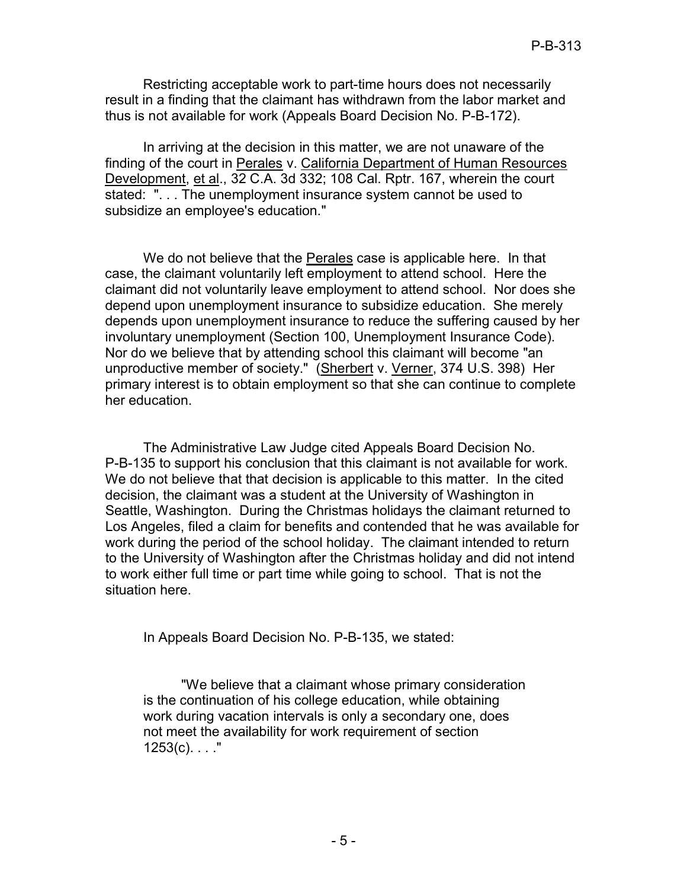Restricting acceptable work to part-time hours does not necessarily result in a finding that the claimant has withdrawn from the labor market and thus is not available for work (Appeals Board Decision No. P-B-172).

 In arriving at the decision in this matter, we are not unaware of the finding of the court in Perales v. California Department of Human Resources Development, et al., 32 C.A. 3d 332; 108 Cal. Rptr. 167, wherein the court stated: ". . . The unemployment insurance system cannot be used to subsidize an employee's education."

We do not believe that the <u>Perales</u> case is applicable here. In that case, the claimant voluntarily left employment to attend school. Here the claimant did not voluntarily leave employment to attend school. Nor does she depend upon unemployment insurance to subsidize education. She merely depends upon unemployment insurance to reduce the suffering caused by her involuntary unemployment (Section 100, Unemployment Insurance Code). Nor do we believe that by attending school this claimant will become "an unproductive member of society." (Sherbert v. <u>Verner,</u> 374 U.S. 398) Her primary interest is to obtain employment so that she can continue to complete her education.

 The Administrative Law Judge cited Appeals Board Decision No. P-B-135 to support his conclusion that this claimant is not available for work. We do not believe that that decision is applicable to this matter. In the cited decision, the claimant was a student at the University of Washington in Seattle, Washington. During the Christmas holidays the claimant returned to Los Angeles, filed a claim for benefits and contended that he was available for work during the period of the school holiday. The claimant intended to return to the University of Washington after the Christmas holiday and did not intend to work either full time or part time while going to school. That is not the situation here.

In Appeals Board Decision No. P-B-135, we stated:

 "We believe that a claimant whose primary consideration is the continuation of his college education, while obtaining work during vacation intervals is only a secondary one, does not meet the availability for work requirement of section  $1253(c)$ . . . . "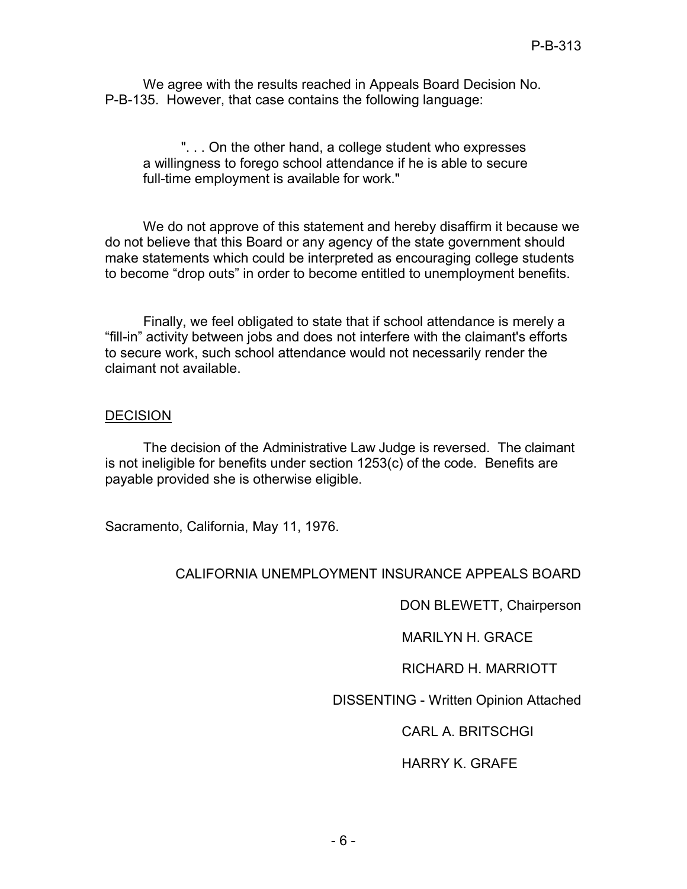We agree with the results reached in Appeals Board Decision No. P-B-135. However, that case contains the following language:

 ". . . On the other hand, a college student who expresses a willingness to forego school attendance if he is able to secure full-time employment is available for work."

 We do not approve of this statement and hereby disaffirm it because we do not believe that this Board or any agency of the state government should make statements which could be interpreted as encouraging college students to become "drop outs" in order to become entitled to unemployment benefits.

 Finally, we feel obligated to state that if school attendance is merely a to secure work, such school attendance would not necessarily render the claimant not available. "fill-in" activity between jobs and does not interfere with the claimant's efforts

## **DECISION**

 The decision of the Administrative Law Judge is reversed. The claimant is not ineligible for benefits under section 1253(c) of the code. Benefits are payable provided she is otherwise eligible.

Sacramento, California, May 11, 1976.

## CALIFORNIA UNEMPLOYMENT INSURANCE APPEALS BOARD

DON BLEWETT, Chairperson

MARILYN H. GRACE

RICHARD H. MARRIOTT

DISSENTING - Written Opinion Attached

CARL A. BRITSCHGI

# HARRY K. GRAFE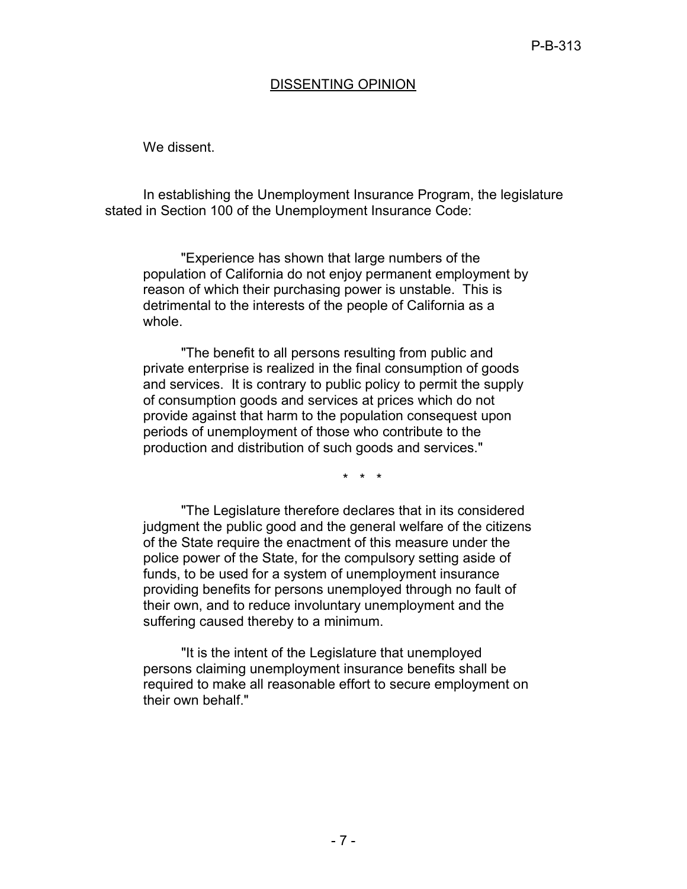#### DISSENTING OPINION

We dissent.

 stated in Section 100 of the Unemployment Insurance Code: In establishing the Unemployment Insurance Program, the legislature

 "Experience has shown that large numbers of the population of California do not enjoy permanent employment by reason of which their purchasing power is unstable. This is detrimental to the interests of the people of California as a whole.

 "The benefit to all persons resulting from public and private enterprise is realized in the final consumption of goods and services. It is contrary to public policy to permit the supply of consumption goods and services at prices which do not provide against that harm to the population consequest upon periods of unemployment of those who contribute to the production and distribution of such goods and services."

\* \* \*

 "The Legislature therefore declares that in its considered judgment the public good and the general welfare of the citizens of the State require the enactment of this measure under the police power of the State, for the compulsory setting aside of funds, to be used for a system of unemployment insurance providing benefits for persons unemployed through no fault of their own, and to reduce involuntary unemployment and the suffering caused thereby to a minimum.

 "It is the intent of the Legislature that unemployed persons claiming unemployment insurance benefits shall be required to make all reasonable effort to secure employment on their own behalf."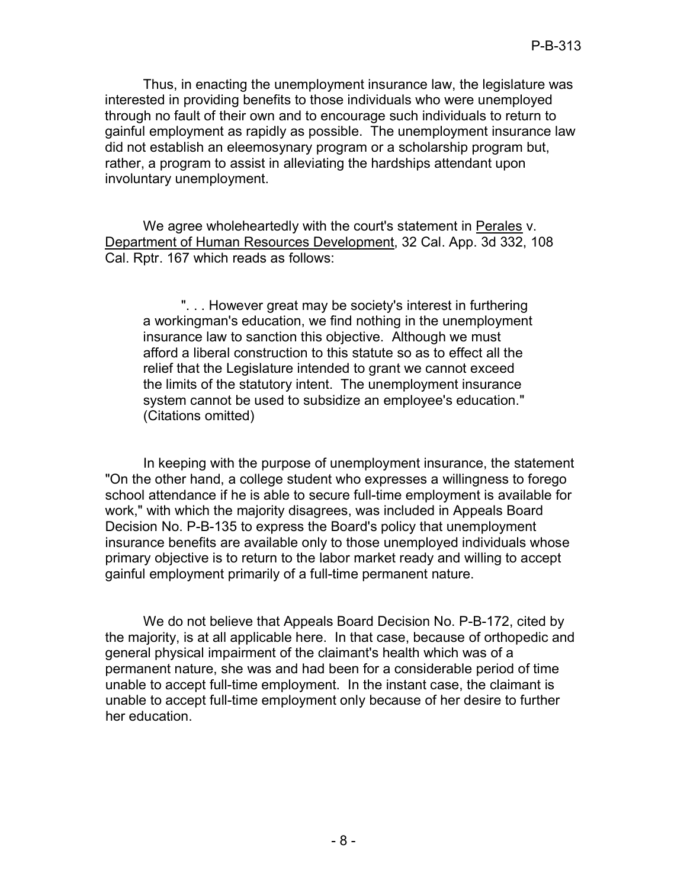Thus, in enacting the unemployment insurance law, the legislature was through no fault of their own and to encourage such individuals to return to gainful employment as rapidly as possible. The unemployment insurance law did not establish an eleemosynary program or a scholarship program but, rather, a program to assist in alleviating the hardships attendant upon interested in providing benefits to those individuals who were unemployed involuntary unemployment.

We agree wholeheartedly with the court's statement in <u>Perales</u> v. Department of Human Resources Development, 32 Cal. App. 3d 332, 108 Cal. Rptr. 167 which reads as follows:

 ". . . However great may be society's interest in furthering a workingman's education, we find nothing in the unemployment insurance law to sanction this objective. Although we must afford a liberal construction to this statute so as to effect all the relief that the Legislature intended to grant we cannot exceed the limits of the statutory intent. The unemployment insurance system cannot be used to subsidize an employee's education." (Citations omitted)

 In keeping with the purpose of unemployment insurance, the statement "On the other hand, a college student who expresses a willingness to forego school attendance if he is able to secure full-time employment is available for work," with which the majority disagrees, was included in Appeals Board Decision No. P-B-135 to express the Board's policy that unemployment primary objective is to return to the labor market ready and willing to accept gainful employment primarily of a full-time permanent nature. insurance benefits are available only to those unemployed individuals whose

 We do not believe that Appeals Board Decision No. P-B-172, cited by the majority, is at all applicable here. In that case, because of orthopedic and general physical impairment of the claimant's health which was of a permanent nature, she was and had been for a considerable period of time unable to accept full-time employment. In the instant case, the claimant is unable to accept full-time employment only because of her desire to further her education.